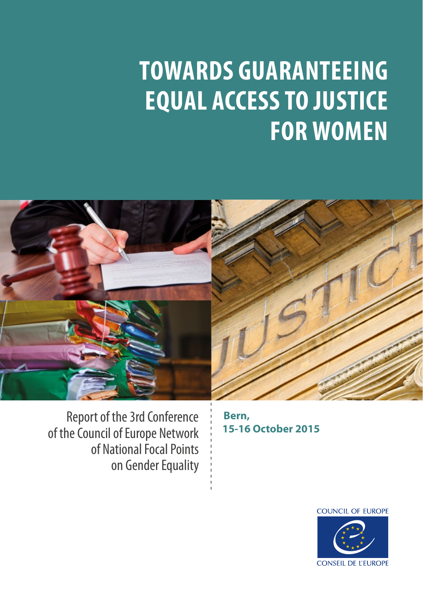# **TOWARDS GUARANTEEING EQUAL ACCESS TO JUSTICE FOR WOMEN**



Report of the 3rd Conference of the Council of Europe Network of National Focal Points on Gender Equality

**Bern, 15-16 October 2015**

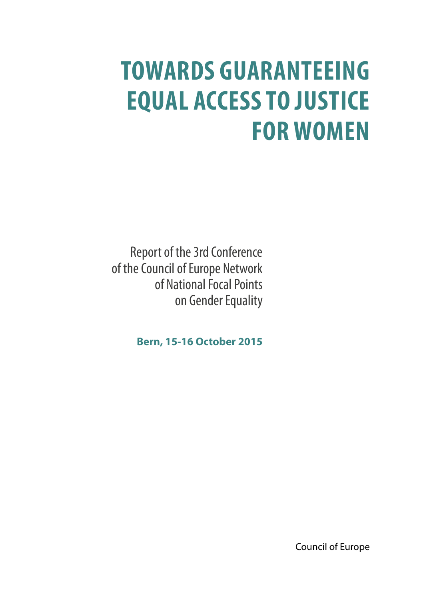# **TOWARDS GUARANTEEING EQUAL ACCESS TO JUSTICE FOR WOMEN**

Report of the 3rd Conference of the Council of Europe Network of National Focal Points on Gender Equality

**Bern, 15-16 October 2015**

Council of Europe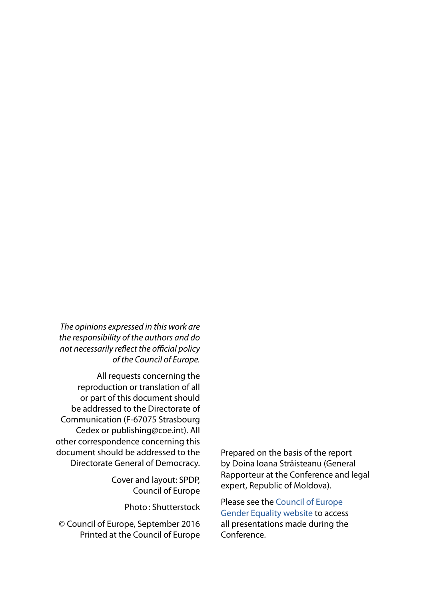*The opinions expressed in this work are the responsibility of the authors and do not necessarily reflect the official policy of the Council of Europe.* 

 $\frac{1}{1}$  $\frac{1}{1}$  $\frac{1}{1}$  $\mathbf{I}$ 

All requests concerning the reproduction or translation of all or part of this document should be addressed to the Directorate of Communication (F-67075 Strasbourg Cedex or publishing@coe.int). All other correspondence concerning this document should be addressed to the Directorate General of Democracy.

> Cover and layout: SPDP, Council of Europe

> > Photo: Shutterstock

© Council of Europe, September 2016 Printed at the Council of Europe Prepared on the basis of the report by Doina Ioana Străisteanu (General Rapporteur at the Conference and legal expert, Republic of Moldova).

Please see the [Council of Europe](http://www.coe.int/en/web/genderequality/home)  [Gender Equality website](http://www.coe.int/en/web/genderequality/home) to access all presentations made during the Conference.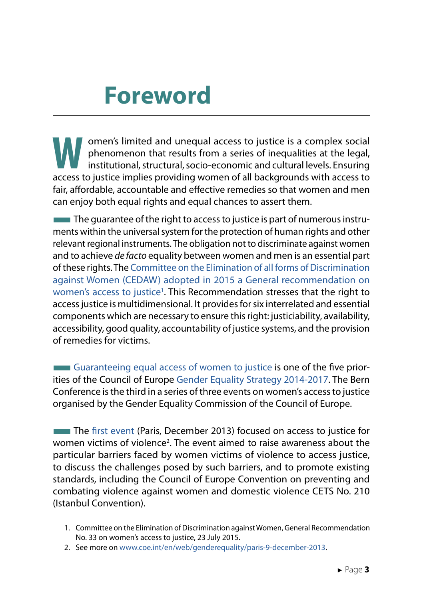# **Foreword**

**Water of the institutional access to justice is a complex social phenomenon that results from a series of inequalities at the legal, institutional, structural, socio-economic and cultural levels. Ensuring access to justic** phenomenon that results from a series of inequalities at the legal, access to justice implies providing women of all backgrounds with access to fair, affordable, accountable and effective remedies so that women and men can enjoy both equal rights and equal chances to assert them.

 $\blacksquare$  The quarantee of the right to access to justice is part of numerous instruments within the universal system for the protection of human rights and other relevant regional instruments. The obligation not to discriminate against women and to achieve *de facto* equality between women and men is an essential part of these rights. The [Committee on the Elimination of all forms of Discrimination](http://tbinternet.ohchr.org/Treaties/CEDAW/Shared%20Documents/1_Global/CEDAW_C_GC_33_7767_E.pdf) [against Women \(CEDAW\) adopted in 2015 a General recommendation on](http://tbinternet.ohchr.org/Treaties/CEDAW/Shared%20Documents/1_Global/CEDAW_C_GC_33_7767_E.pdf) women's access to justice<sup>1</sup>. This Recommendation stresses that the right to access justice is multidimensional. It provides for six interrelated and essential components which are necessary to ensure this right: justiciability, availability, accessibility, good quality, accountability of justice systems, and the provision of remedies for victims.

**EXECUTE:** [Guaranteeing equal access of women to justice](http://www.coe.int/en/web/genderequality/equal-access-of-women-to-justice) is one of the five priorities of the Council of Europe [Gender Equality Strategy 2014-2017.](http://www.coe.int/en/web/genderequality/gender-equality-strategy) The Bern Conference is the third in a series of three events on women's access to justice organised by the Gender Equality Commission of the Council of Europe.

**The [first event](http://www.coe.int/en/web/genderequality/paris-9-december-2013) (Paris, December 2013) focused on access to justice for** women victims of violence<sup>2</sup>. The event aimed to raise awareness about the particular barriers faced by women victims of violence to access justice, to discuss the challenges posed by such barriers, and to promote existing standards, including the Council of Europe Convention on preventing and combating violence against women and domestic violence CETS No. 210 (Istanbul Convention).

<sup>1.</sup> Committee on the Elimination of Discrimination against Women, General Recommendation No. 33 on women's access to justice, 23 July 2015.

<sup>2.</sup> See more on [www.coe.int/en/web/genderequality/paris-9-december-2013](http://www.coe.int/en/web/genderequality/paris-9-december-2013).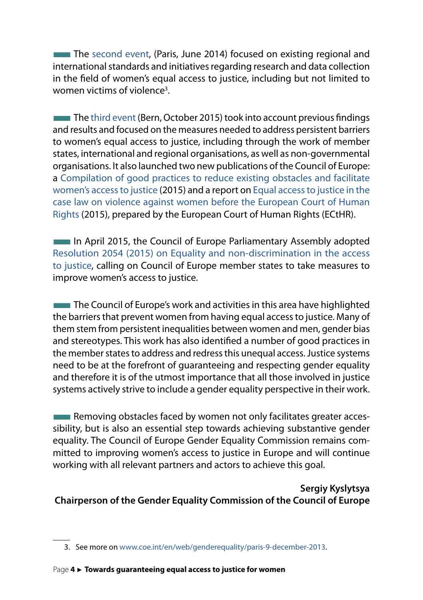**The [second event,](http://www.coe.int/en/web/genderequality/paris-26-27-juin-2014) (Paris, June 2014) focused on existing regional and** international standards and initiatives regarding research and data collection in the field of women's equal access to justice, including but not limited to women victims of violence<sup>3</sup>.

The [third event](http://www.coe.int/en/web/genderequality/towards-guaranteeing-equal-access-of-women-to-justice) (Bern, October 2015) took into account previous findings and results and focused on the measures needed to address persistent barriers to women's equal access to justice, including through the work of member states, international and regional organisations, as well as non-governmental organisations. It also launched two new publications of the Council of Europe: a [Compilation of good practices to reduce existing obstacles and facilitate](https://rm.coe.int/CoERMPublicCommonSearchServices/sso/SSODisplayDCTMContent?documentId=0900001680597b12) [women's access to justice](https://rm.coe.int/CoERMPublicCommonSearchServices/sso/SSODisplayDCTMContent?documentId=0900001680597b12) (2015) and a report on [Equal access to justice in the](https://rm.coe.int/CoERMPublicCommonSearchServices/sso/SSODisplayDCTMContent?documentId=0900001680597b16) [case law on violence against women before the European Court of Human](https://rm.coe.int/CoERMPublicCommonSearchServices/sso/SSODisplayDCTMContent?documentId=0900001680597b16) [Rights](https://rm.coe.int/CoERMPublicCommonSearchServices/sso/SSODisplayDCTMContent?documentId=0900001680597b16) (2015), prepared by the European Court of Human Rights (ECtHR).

**The Industry April 2015, the Council of Europe Parliamentary Assembly adopted** [Resolution 2054 \(2015\) on Equality and non-discrimination in the access](http://assembly.coe.int/nw/xml/XRef/Xref-DocDetails-EN.asp?fileid=21753&lang=EN&search=UmVzb2x1dGlvbiAyMDU0ICgyMDE1) [to justice,](http://assembly.coe.int/nw/xml/XRef/Xref-DocDetails-EN.asp?fileid=21753&lang=EN&search=UmVzb2x1dGlvbiAyMDU0ICgyMDE1) calling on Council of Europe member states to take measures to improve women's access to justice.

**The Council of Europe's work and activities in this area have highlighted** the barriers that prevent women from having equal access to justice. Many of them stem from persistent inequalities between women and men, gender bias and stereotypes. This work has also identified a number of good practices in the member states to address and redress this unequal access. Justice systems need to be at the forefront of guaranteeing and respecting gender equality and therefore it is of the utmost importance that all those involved in justice systems actively strive to include a gender equality perspective in their work.

**THE Removing obstacles faced by women not only facilitates greater acces**sibility, but is also an essential step towards achieving substantive gender equality. The Council of Europe Gender Equality Commission remains committed to improving women's access to justice in Europe and will continue working with all relevant partners and actors to achieve this goal.

#### **Sergiy Kyslytsya Chairperson of the Gender Equality Commission of the Council of Europe**

<sup>3.</sup> See more on [www.coe.int/en/web/genderequality/paris-9-december-2013](http://www.coe.int/en/web/genderequality/paris-9-december-2013).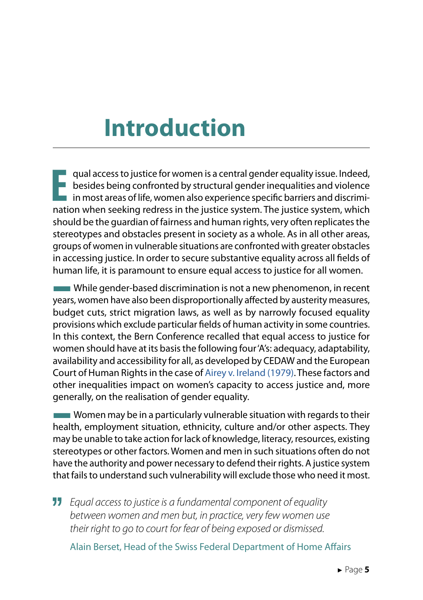# **Introduction**

**E** qual access to justice for women is a central gender equality issue. Indeed,<br>Lossides being confronted by structural gender inequalities and violence besides being confronted by structural gender inequalities and violence in most areas of life, women also experience specific barriers and discrimination when seeking redress in the justice system. The justice system, which should be the guardian of fairness and human rights, very often replicates the stereotypes and obstacles present in society as a whole. As in all other areas, groups of women in vulnerable situations are confronted with greater obstacles in accessing justice. In order to secure substantive equality across all fields of human life, it is paramount to ensure equal access to justice for all women.

While gender-based discrimination is not a new phenomenon, in recent years, women have also been disproportionally affected by austerity measures, budget cuts, strict migration laws, as well as by narrowly focused equality provisions which exclude particular fields of human activity in some countries. In this context, the Bern Conference recalled that equal access to justice for women should have at its basis the following four 'A's: adequacy, adaptability, availability and accessibility for all, as developed by CEDAW and the European Court of Human Rights in the case of Airey v. Ireland (1979). These factors and other inequalities impact on women's capacity to access justice and, more generally, on the realisation of gender equality.

**Women may be in a particularly vulnerable situation with regards to their** health, employment situation, ethnicity, culture and/or other aspects. They may be unable to take action for lack of knowledge, literacy, resources, existing stereotypes or other factors. Women and men in such situations often do not have the authority and power necessary to defend their rights. A justice system that fails to understand such vulnerability will exclude those who need it most.

" *Equal access to justice is a fundamental component of equality between women and men but, in practice, very few women use their right to go to court for fear of being exposed or dismissed.* 

Alain Berset, Head of the Swiss Federal Department of Home Affairs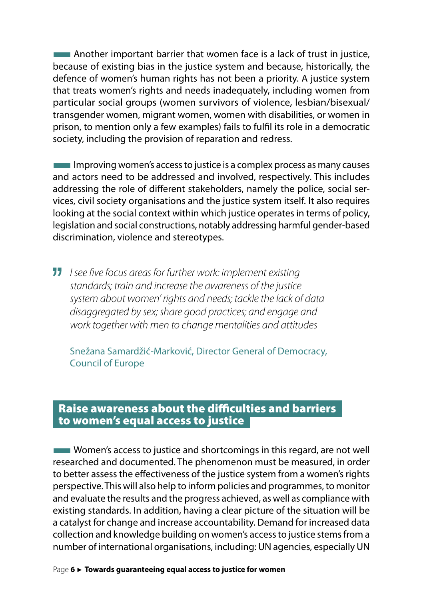**EXECUTE:** Another important barrier that women face is a lack of trust in justice, because of existing bias in the justice system and because, historically, the defence of women's human rights has not been a priority. A justice system that treats women's rights and needs inadequately, including women from particular social groups (women survivors of violence, lesbian/bisexual/ transgender women, migrant women, women with disabilities, or women in prison, to mention only a few examples) fails to fulfil its role in a democratic society, including the provision of reparation and redress.

■Improving women's access to justice is a complex process as many causes and actors need to be addressed and involved, respectively. This includes addressing the role of different stakeholders, namely the police, social services, civil society organisations and the justice system itself. It also requires looking at the social context within which justice operates in terms of policy, legislation and social constructions, notably addressing harmful gender-based discrimination, violence and stereotypes.

*II* I see five focus areas for further work: implement existing *standards; train and increase the awareness of the justice system about women' rights and needs; tackle the lack of data disaggregated by sex; share good practices; and engage and work together with men to change mentalities and attitudes*

Snežana Samardžić-Marković, Director General of Democracy, Council of Europe

#### Raise awareness about the difficulties and barriers to women's equal access to justice

**Women's access to justice and shortcomings in this regard, are not well** researched and documented. The phenomenon must be measured, in order to better assess the effectiveness of the justice system from a women's rights perspective. This will also help to inform policies and programmes, to monitor and evaluate the results and the progress achieved, as well as compliance with existing standards. In addition, having a clear picture of the situation will be a catalyst for change and increase accountability. Demand for increased data collection and knowledge building on women's access to justice stems from a number of international organisations, including: UN agencies, especially UN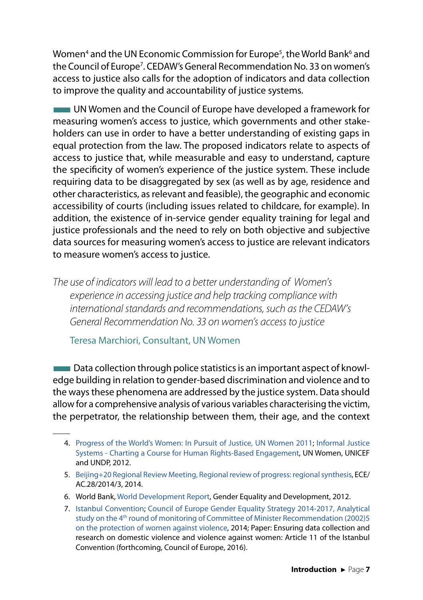Women<sup>4</sup> and the UN Economic Commission for Europe<sup>5</sup>, the World Bank<sup>6</sup> and the Council of Europe7 . CEDAW's General Recommendation No. 33 on women's access to justice also calls for the adoption of indicators and data collection to improve the quality and accountability of justice systems.

**EXTEM** UN Women and the Council of Europe have developed a framework for measuring women's access to justice, which governments and other stakeholders can use in order to have a better understanding of existing gaps in equal protection from the law. The proposed indicators relate to aspects of access to justice that, while measurable and easy to understand, capture the specificity of women's experience of the justice system. These include requiring data to be disaggregated by sex (as well as by age, residence and other characteristics, as relevant and feasible), the geographic and economic accessibility of courts (including issues related to childcare, for example). In addition, the existence of in-service gender equality training for legal and justice professionals and the need to rely on both objective and subjective data sources for measuring women's access to justice are relevant indicators to measure women's access to justice.

*The use of indicators will lead to a better understanding of Women's experience in accessing justice and help tracking compliance with international standards and recommendations, such as the CEDAW's General Recommendation No. 33 on women's access to justice* 

Teresa Marchiori, Consultant, UN Women

 $\blacksquare$  Data collection through police statistics is an important aspect of knowledge building in relation to gender-based discrimination and violence and to the ways these phenomena are addressed by the justice system. Data should allow for a comprehensive analysis of various variables characterising the victim, the perpetrator, the relationship between them, their age, and the context

- 4. [Progress of the World's Women: In Pursuit of Justice, UN Women 2011](http://www.unwomen.org/~/media/headquarters/attachments/sections/library/publications/2011/progressoftheworldswomen-2011-en.pdf); [Informal Justice](http://www.undp.org/content/dam/undp/library/Democratic%20Governance/Access%20to%20Justice%20and%20Rule%20of%20Law/Informal-Justice-Systems-Charting-a-Course-for-Human-Rights-Based-Engagement.pdf) [Systems - Charting a Course for Human Rights-Based Engagement,](http://www.undp.org/content/dam/undp/library/Democratic%20Governance/Access%20to%20Justice%20and%20Rule%20of%20Law/Informal-Justice-Systems-Charting-a-Course-for-Human-Rights-Based-Engagement.pdf) UN Women, UNICEF and UNDP, 2012.
- 5. [Beijing+20 Regional Review Meeting, Regional review of progress: regional synthesis](http://www.unece.org:8080/fileadmin/DAM/Gender/documents/Beijing%2B15/ECE.AC.28.2014.3.E.pdf), ECE/ AC.28/2014/3, 2014.
- 6. World Bank, [World Development Report](https://siteresources.worldbank.org/INTWDR2012/Resources/7778105-1299699968583/7786210-1315936222006/Complete-Report.pdf), Gender Equality and Development, 2012.
- 7. [Istanbul Convention](http://www.coe.int/en/web/istanbul-convention/home); [Council of Europe Gender Equality Strategy 2014-2017](hhttp://www.coe.int/en/web/genderequality/gender-equality-strategy)[, Analytical](https://rm.coe.int/CoERMPublicCommonSearchServices/sso/SSODisplayDCTMContent?documentId=09000016805915e9) [study on the 4th round of monitoring of Committee of Minister Recommendation \(2002\)5](https://rm.coe.int/CoERMPublicCommonSearchServices/sso/SSODisplayDCTMContent?documentId=09000016805915e9) [on the protection of women against violence,](https://rm.coe.int/CoERMPublicCommonSearchServices/sso/SSODisplayDCTMContent?documentId=09000016805915e9) 2014; Paper: Ensuring data collection and research on domestic violence and violence against women: Article 11 of the Istanbul Convention (forthcoming, Council of Europe, 2016).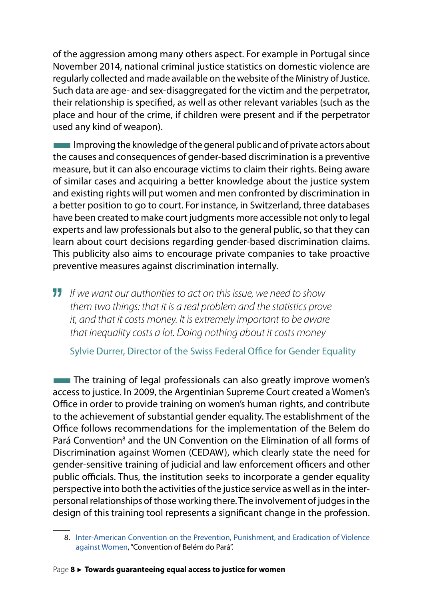of the aggression among many others aspect. For example in Portugal since November 2014, national criminal justice statistics on domestic violence are regularly collected and made available on the website of the Ministry of Justice. Such data are age- and sex-disaggregated for the victim and the perpetrator, their relationship is specified, as well as other relevant variables (such as the place and hour of the crime, if children were present and if the perpetrator used any kind of weapon).

Improving the knowledge of the general public and of private actors about the causes and consequences of gender-based discrimination is a preventive measure, but it can also encourage victims to claim their rights. Being aware of similar cases and acquiring a better knowledge about the justice system and existing rights will put women and men confronted by discrimination in a better position to go to court. For instance, in Switzerland, three databases have been created to make court judgments more accessible not only to legal experts and law professionals but also to the general public, so that they can learn about court decisions regarding gender-based discrimination claims. This publicity also aims to encourage private companies to take proactive preventive measures against discrimination internally.

*If we want our authorities to act on this issue, we need to show them two things: that it is a real problem and the statistics prove it, and that it costs money. It is extremely important to be aware that inequality costs a lot. Doing nothing about it costs money*

Sylvie Durrer, Director of the Swiss Federal Office for Gender Equality

**The training of legal professionals can also greatly improve women's** access to justice. In 2009, the Argentinian Supreme Court created a Women's Office in order to provide training on women's human rights, and contribute to the achievement of substantial gender equality. The establishment of the Office follows recommendations for the implementation of the Belem do Pará Convention<sup>8</sup> and the UN Convention on the Elimination of all forms of Discrimination against Women (CEDAW), which clearly state the need for gender-sensitive training of judicial and law enforcement officers and other public officials. Thus, the institution seeks to incorporate a gender equality perspective into both the activities of the justice service as well as in the interpersonal relationships of those working there. The involvement of judges in the design of this training tool represents a significant change in the profession.

<sup>8.</sup> [Inter-American Convention on the Prevention, Punishment, and Eradication of Violence](http://www.oas.org/juridico/english/treaties/a-61.html) [against Women,](http://www.oas.org/juridico/english/treaties/a-61.html) "Convention of Belém do Pará".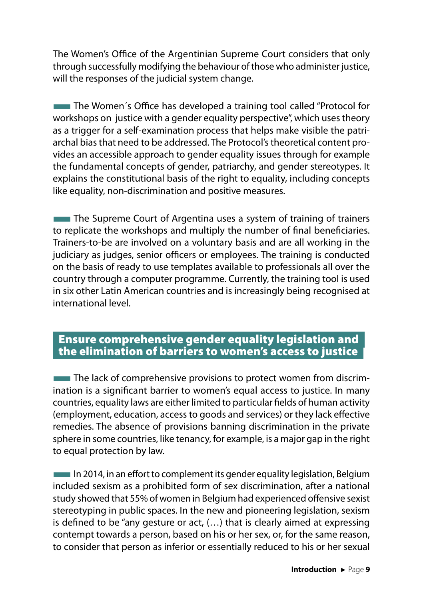The Women's Office of the Argentinian Supreme Court considers that only through successfully modifying the behaviour of those who administer justice, will the responses of the judicial system change.

**The Women's Office has developed a training tool called "Protocol for** workshops on justice with a gender equality perspective", which uses theory as a trigger for a self-examination process that helps make visible the patriarchal bias that need to be addressed. The Protocol's theoretical content provides an accessible approach to gender equality issues through for example the fundamental concepts of gender, patriarchy, and gender stereotypes. It explains the constitutional basis of the right to equality, including concepts like equality, non-discrimination and positive measures.

**The Supreme Court of Argentina uses a system of training of trainers** to replicate the workshops and multiply the number of final beneficiaries. Trainers-to-be are involved on a voluntary basis and are all working in the judiciary as judges, senior officers or employees. The training is conducted on the basis of ready to use templates available to professionals all over the country through a computer programme. Currently, the training tool is used in six other Latin American countries and is increasingly being recognised at international level.

#### Ensure comprehensive gender equality legislation and the elimination of barriers to women's access to justice

The lack of comprehensive provisions to protect women from discrimination is a significant barrier to women's equal access to justice. In many countries, equality laws are either limited to particular fields of human activity (employment, education, access to goods and services) or they lack effective remedies. The absence of provisions banning discrimination in the private sphere in some countries, like tenancy, for example, is a major gap in the right to equal protection by law.

**IFF 2014, in an effort to complement its gender equality legislation, Belgium** included sexism as a prohibited form of sex discrimination, after a national study showed that 55% of women in Belgium had experienced offensive sexist stereotyping in public spaces. In the new and pioneering legislation, sexism is defined to be "any gesture or act, (…) that is clearly aimed at expressing contempt towards a person, based on his or her sex, or, for the same reason, to consider that person as inferior or essentially reduced to his or her sexual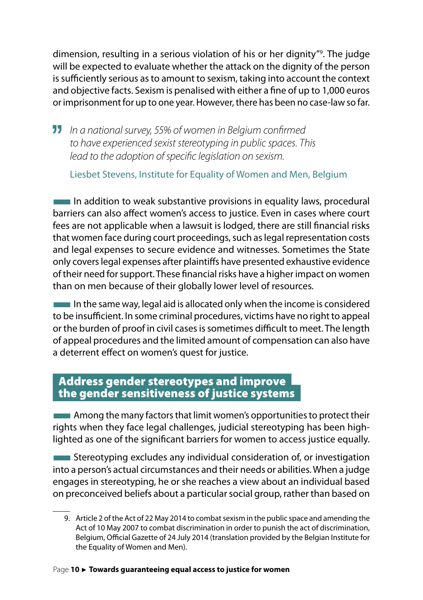dimension, resulting in a serious violation of his or her dignity"9 . The judge will be expected to evaluate whether the attack on the dignity of the person is sufficiently serious as to amount to sexism, taking into account the context and objective facts. Sexism is penalised with either a fine of up to 1,000 euros or imprisonment for up to one year. However, there has been no case-law so far.

*In a national survey, 55% of women in Belgium confirmed to have experienced sexist stereotyping in public spaces. This lead to the adoption of specific legislation on sexism.* 

Liesbet Stevens, Institute for Equality of Women and Men, Belgium

■In addition to weak substantive provisions in equality laws, procedural barriers can also affect women's access to justice. Even in cases where court fees are not applicable when a lawsuit is lodged, there are still financial risks that women face during court proceedings, such as legal representation costs and legal expenses to secure evidence and witnesses. Sometimes the State only covers legal expenses after plaintiffs have presented exhaustive evidence of their need for support. These financial risks have a higher impact on women than on men because of their globally lower level of resources.

In the same way, legal aid is allocated only when the income is considered to be insufficient. In some criminal procedures, victims have no right to appeal or the burden of proof in civil cases is sometimes difficult to meet. The length of appeal procedures and the limited amount of compensation can also have a deterrent effect on women's quest for justice.

#### Address gender stereotypes and improve the gender sensitiveness of justice systems

**EXECUTE:** Among the many factors that limit women's opportunities to protect their rights when they face legal challenges, judicial stereotyping has been highlighted as one of the significant barriers for women to access justice equally.

**EXTERNATION EXTERNATION Stereotyping excludes any individual consideration of, or investigation** into a person's actual circumstances and their needs or abilities. When a judge engages in stereotyping, he or she reaches a view about an individual based on preconceived beliefs about a particular social group, rather than based on

9. Article 2 of the Act of 22 May 2014 to combat sexism in the public space and amending the Act of 10 May 2007 to combat discrimination in order to punish the act of discrimination, Belgium, Official Gazette of 24 July 2014 (translation provided by the Belgian Institute for the Equality of Women and Men).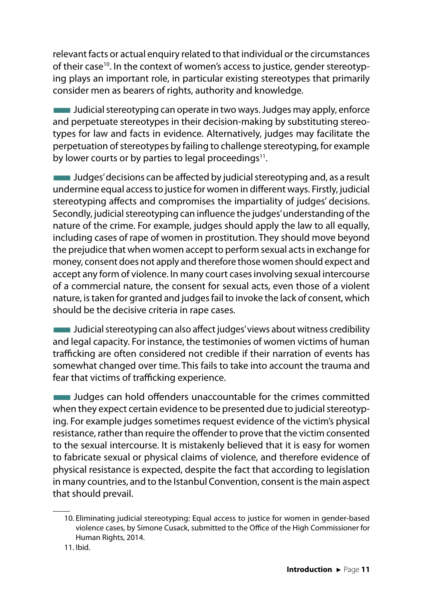relevant facts or actual enquiry related to that individual or the circumstances of their case<sup>10</sup>. In the context of women's access to justice, gender stereotyping plays an important role, in particular existing stereotypes that primarily consider men as bearers of rights, authority and knowledge.

**THE Judicial stereotyping can operate in two ways. Judges may apply, enforce** and perpetuate stereotypes in their decision-making by substituting stereotypes for law and facts in evidence. Alternatively, judges may facilitate the perpetuation of stereotypes by failing to challenge stereotyping, for example by lower courts or by parties to legal proceedings<sup>11</sup>.

■Judges' decisions can be affected by judicial stereotyping and, as a result undermine equal access to justice for women in different ways. Firstly, judicial stereotyping affects and compromises the impartiality of judges' decisions. Secondly, judicial stereotyping can influence the judges' understanding of the nature of the crime. For example, judges should apply the law to all equally, including cases of rape of women in prostitution. They should move beyond the prejudice that when women accept to perform sexual acts in exchange for money, consent does not apply and therefore those women should expect and accept any form of violence. In many court cases involving sexual intercourse of a commercial nature, the consent for sexual acts, even those of a violent nature, is taken for granted and judges fail to invoke the lack of consent, which should be the decisive criteria in rape cases.

■Judicial stereotyping can also affect judges' views about witness credibility and legal capacity. For instance, the testimonies of women victims of human trafficking are often considered not credible if their narration of events has somewhat changed over time. This fails to take into account the trauma and fear that victims of trafficking experience.

■Judges can hold offenders unaccountable for the crimes committed when they expect certain evidence to be presented due to judicial stereotyping. For example judges sometimes request evidence of the victim's physical resistance, rather than require the offender to prove that the victim consented to the sexual intercourse. It is mistakenly believed that it is easy for women to fabricate sexual or physical claims of violence, and therefore evidence of physical resistance is expected, despite the fact that according to legislation in many countries, and to the Istanbul Convention, consent is the main aspect that should prevail.

<sup>10.</sup> Eliminating judicial stereotyping: Equal access to justice for women in gender-based violence cases, by Simone Cusack, submitted to the Office of the High Commissioner for Human Rights, 2014.

<sup>11.</sup> Ibid.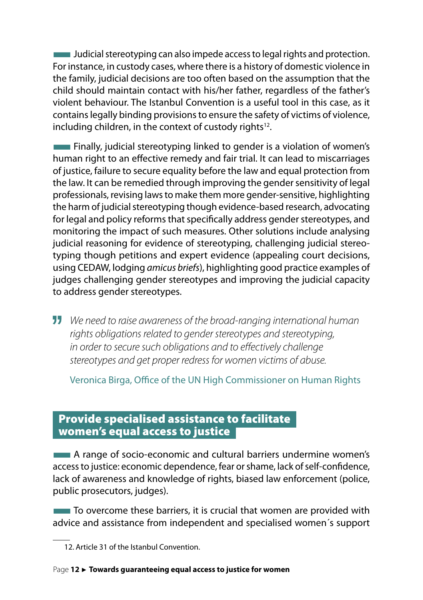■Judicial stereotyping can also impede access to legal rights and protection. For instance, in custody cases, where there is a history of domestic violence in the family, judicial decisions are too often based on the assumption that the child should maintain contact with his/her father, regardless of the father's violent behaviour. The Istanbul Convention is a useful tool in this case, as it contains legally binding provisions to ensure the safety of victims of violence, including children, in the context of custody rights<sup>12</sup>.

**EXECUTE:** Finally, judicial stereotyping linked to gender is a violation of women's human right to an effective remedy and fair trial. It can lead to miscarriages of justice, failure to secure equality before the law and equal protection from the law. It can be remedied through improving the gender sensitivity of legal professionals, revising laws to make them more gender-sensitive, highlighting the harm of judicial stereotyping though evidence-based research, advocating for legal and policy reforms that specifically address gender stereotypes, and monitoring the impact of such measures. Other solutions include analysing judicial reasoning for evidence of stereotyping, challenging judicial stereotyping though petitions and expert evidence (appealing court decisions, using CEDAW, lodging *amicus briefs*), highlighting good practice examples of judges challenging gender stereotypes and improving the judicial capacity to address gender stereotypes.

*We need to raise awareness of the broad-ranging international human rights obligations related to gender stereotypes and stereotyping, in order to secure such obligations and to effectively challenge stereotypes and get proper redress for women victims of abuse.*

Veronica Birga, Office of the UN High Commissioner on Human Rights

#### Provide specialised assistance to facilitate women's equal access to justice

**EXECTE:** A range of socio-economic and cultural barriers undermine women's access to justice: economic dependence, fear or shame, lack of self-confidence, lack of awareness and knowledge of rights, biased law enforcement (police, public prosecutors, judges).

**THE THE STARK TO STARK IS CONTROLLED TO STARK THE STARK IS CONTROLLED TO STARK THE THE STARK IS CONTROLLED TO S** advice and assistance from independent and specialised women´s support

<sup>12.</sup> Article 31 of the Istanbul Convention.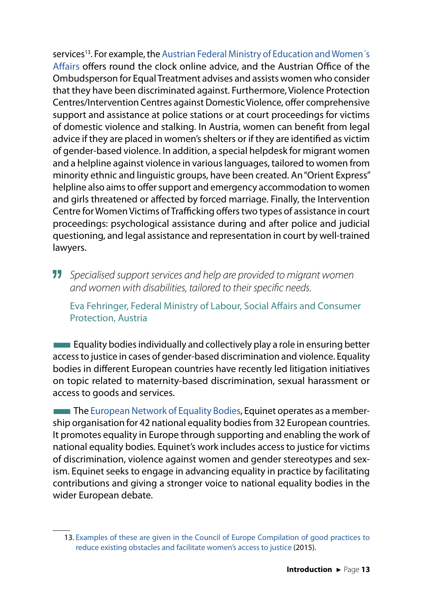services<sup>13</sup>. For example, the Austrian Federal Ministry of Education and Women's [Affairs](https://www.bmbf.gv.at/enfr/index.html) offers round the clock online advice, and the Austrian Office of the Ombudsperson for Equal Treatment advises and assists women who consider that they have been discriminated against. Furthermore, Violence Protection Centres/Intervention Centres against Domestic Violence, offer comprehensive support and assistance at police stations or at court proceedings for victims of domestic violence and stalking. In Austria, women can benefit from legal advice if they are placed in women's shelters or if they are identified as victim of gender-based violence. In addition, a special helpdesk for migrant women and a helpline against violence in various languages, tailored to women from minority ethnic and linguistic groups, have been created. An "Orient Express" helpline also aims to offer support and emergency accommodation to women and girls threatened or affected by forced marriage. Finally, the Intervention Centre for Women Victims of Trafficking offers two types of assistance in court proceedings: psychological assistance during and after police and judicial questioning, and legal assistance and representation in court by well-trained lawyers.

*Specialised support services and help are provided to migrant women and women with disabilities, tailored to their specific needs.* 

Eva Fehringer, Federal Ministry of Labour, Social Affairs and Consumer Protection, Austria

 $\blacksquare$  Equality bodies individually and collectively play a role in ensuring better access to justice in cases of gender-based discrimination and violence. Equality bodies in different European countries have recently led litigation initiatives on topic related to maternity-based discrimination, sexual harassment or access to goods and services.

**The [European Network of Equality Bodies,](http://www.equineteurope.org/) Equinet operates as a member**ship organisation for 42 national equality bodies from 32 European countries. It promotes equality in Europe through supporting and enabling the work of national equality bodies. Equinet's work includes access to justice for victims of discrimination, violence against women and gender stereotypes and sexism. Equinet seeks to engage in advancing equality in practice by facilitating contributions and giving a stronger voice to national equality bodies in the wider European debate.

<sup>13.</sup> [Examples of these are given in the Council of Europe Compilation of good practices to](http://www.coe.int/t/dghl/standardsetting/equality/03themes/access_to_justice/A2J_good%20practices_2015.pdf) [reduce existing obstacles and facilitate women's access to justice](http://www.coe.int/t/dghl/standardsetting/equality/03themes/access_to_justice/A2J_good%20practices_2015.pdf) (2015).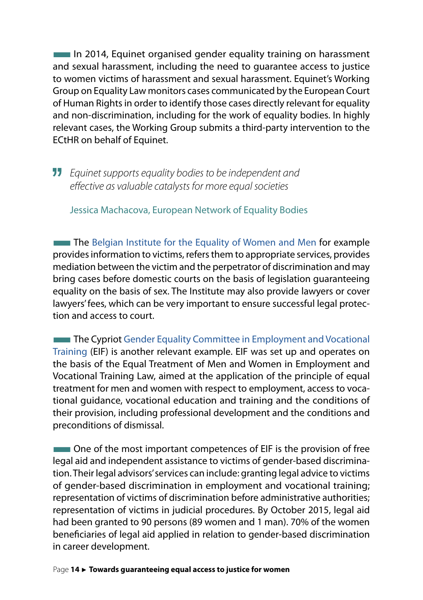**IDED** In 2014, Equinet organised gender equality training on harassment and sexual harassment, including the need to guarantee access to justice to women victims of harassment and sexual harassment. Equinet's Working Group on Equality Law monitors cases communicated by the European Court of Human Rights in order to identify those cases directly relevant for equality and non-discrimination, including for the work of equality bodies. In highly relevant cases, the Working Group submits a third-party intervention to the ECtHR on behalf of Equinet.

*Equinet supports equality bodies to be independent and effective as valuable catalysts for more equal societies*

Jessica Machacova, European Network of Equality Bodies

**The [Belgian Institute for the Equality of Women and Men](http://igvm-iefh.belgium.be/fr) for example** provides information to victims, refers them to appropriate services, provides mediation between the victim and the perpetrator of discrimination and may bring cases before domestic courts on the basis of legislation guaranteeing equality on the basis of sex. The Institute may also provide lawyers or cover lawyers' fees, which can be very important to ensure successful legal protection and access to court.

**The Cypriot [Gender Equality Committee in Employment and Vocational](http://www.eif.gov.cy/mlsi/dl/genderequality.nsf/index_en/index_en?OpenDocument)** [Training](http://www.eif.gov.cy/mlsi/dl/genderequality.nsf/index_en/index_en?OpenDocument) (EIF) is another relevant example. EIF was set up and operates on the basis of the Equal Treatment of Men and Women in Employment and Vocational Training Law, aimed at the application of the principle of equal treatment for men and women with respect to employment, access to vocational guidance, vocational education and training and the conditions of their provision, including professional development and the conditions and preconditions of dismissal.

**THE One of the most important competences of EIF is the provision of free** legal aid and independent assistance to victims of gender-based discrimination. Their legal advisors' services can include: granting legal advice to victims of gender-based discrimination in employment and vocational training; representation of victims of discrimination before administrative authorities; representation of victims in judicial procedures. By October 2015, legal aid had been granted to 90 persons (89 women and 1 man). 70% of the women beneficiaries of legal aid applied in relation to gender-based discrimination in career development.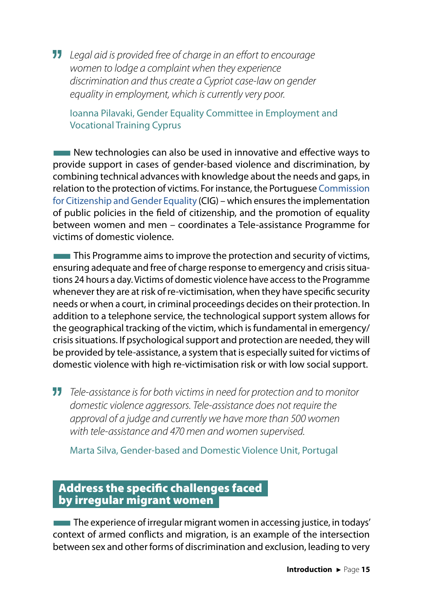*Legal aid is provided free of charge in an effort to encourage women to lodge a complaint when they experience discrimination and thus create a Cypriot case-law on gender equality in employment, which is currently very poor.*

Ioanna Pilavaki, Gender Equality Committee in Employment and Vocational Training Cyprus

**THE NEW TECHNOLOGIES CAN ALSO be used in innovative and effective ways to** provide support in cases of gender-based violence and discrimination, by combining technical advances with knowledge about the needs and gaps, in relation to the protection of victims. For instance, the Portuguese [Commission](https://www.portaldocidadao.pt/en/web/comissao-para-a-cidadania-e-igualdade-de-genero/comissao-para-a-cidadania-e-igualdade-de-genero) [for Citizenship and Gender Equality](https://www.portaldocidadao.pt/en/web/comissao-para-a-cidadania-e-igualdade-de-genero/comissao-para-a-cidadania-e-igualdade-de-genero) (CIG) – which ensures the implementation of public policies in the field of citizenship, and the promotion of equality between women and men – coordinates a Tele-assistance Programme for victims of domestic violence.

**This Programme aims to improve the protection and security of victims,** ensuring adequate and free of charge response to emergency and crisis situations 24 hours a day. Victims of domestic violence have access to the Programme whenever they are at risk of re-victimisation, when they have specific security needs or when a court, in criminal proceedings decides on their protection. In addition to a telephone service, the technological support system allows for the geographical tracking of the victim, which is fundamental in emergency/ crisis situations. If psychological support and protection are needed, they will be provided by tele-assistance, a system that is especially suited for victims of domestic violence with high re-victimisation risk or with low social support.

*Tele-assistance is for both victims in need for protection and to monitor domestic violence aggressors. Tele-assistance does not require the approval of a judge and currently we have more than 500 women with tele-assistance and 470 men and women supervised.* 

Marta Silva, Gender-based and Domestic Violence Unit, Portugal

### Address the specific challenges faced by irregular migrant women

The experience of irregular migrant women in accessing justice, in todays' context of armed conflicts and migration, is an example of the intersection between sex and other forms of discrimination and exclusion, leading to very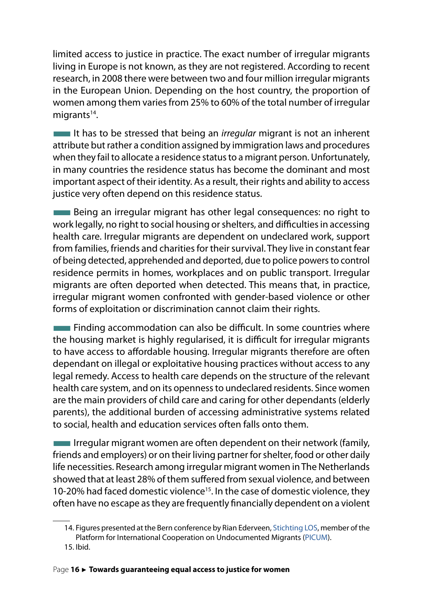limited access to justice in practice. The exact number of irregular migrants living in Europe is not known, as they are not registered. According to recent research, in 2008 there were between two and four million irregular migrants in the European Union. Depending on the host country, the proportion of women among them varies from 25% to 60% of the total number of irregular migrants<sup>14</sup>.

■It has to be stressed that being an *irregular* migrant is not an inherent attribute but rather a condition assigned by immigration laws and procedures when they fail to allocate a residence status to a migrant person. Unfortunately, in many countries the residence status has become the dominant and most important aspect of their identity. As a result, their rights and ability to access justice very often depend on this residence status.

**Being an irregular migrant has other legal consequences: no right to** work legally, no right to social housing or shelters, and difficulties in accessing health care. Irregular migrants are dependent on undeclared work, support from families, friends and charities for their survival. They live in constant fear of being detected, apprehended and deported, due to police powers to control residence permits in homes, workplaces and on public transport. Irregular migrants are often deported when detected. This means that, in practice, irregular migrant women confronted with gender-based violence or other forms of exploitation or discrimination cannot claim their rights.

**EXECUTE:** Finding accommodation can also be difficult. In some countries where the housing market is highly regularised, it is difficult for irregular migrants to have access to affordable housing. Irregular migrants therefore are often dependant on illegal or exploitative housing practices without access to any legal remedy. Access to health care depends on the structure of the relevant health care system, and on its openness to undeclared residents. Since women are the main providers of child care and caring for other dependants (elderly parents), the additional burden of accessing administrative systems related to social, health and education services often falls onto them.

 $\blacksquare$  Irregular migrant women are often dependent on their network (family, friends and employers) or on their living partner for shelter, food or other daily life necessities. Research among irregular migrant women in The Netherlands showed that at least 28% of them suffered from sexual violence, and between 10-20% had faced domestic violence<sup>15</sup>. In the case of domestic violence, they often have no escape as they are frequently financially dependent on a violent

<sup>14.</sup> Figures presented at the Bern conference by Rian Ederveen, [Stichting LOS](http://www.stichtinglos.nl/), member of the Platform for International Cooperation on Undocumented Migrants ([PICUM](http://picum.org/en/)). 15. Ibid.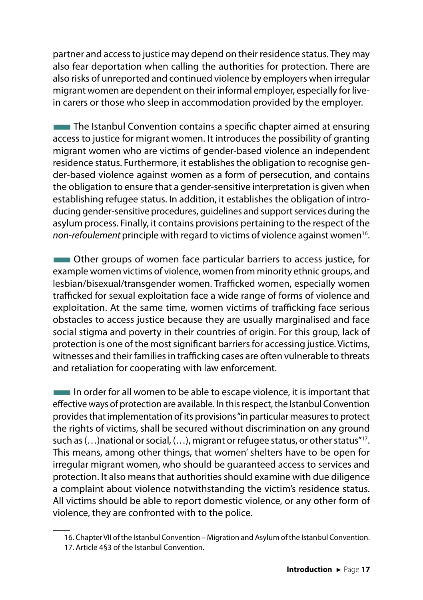partner and access to justice may depend on their residence status. They may also fear deportation when calling the authorities for protection. There are also risks of unreported and continued violence by employers when irregular migrant women are dependent on their informal employer, especially for livein carers or those who sleep in accommodation provided by the employer.

**The Istanbul Convention contains a specific chapter aimed at ensuring** access to justice for migrant women. It introduces the possibility of granting migrant women who are victims of gender-based violence an independent residence status. Furthermore, it establishes the obligation to recognise gender-based violence against women as a form of persecution, and contains the obligation to ensure that a gender-sensitive interpretation is given when establishing refugee status. In addition, it establishes the obligation of introducing gender-sensitive procedures, guidelines and support services during the asylum process. Finally, it contains provisions pertaining to the respect of the *non-refoulement* principle with regard to victims of violence against women16.

**EXECUTE:** Other groups of women face particular barriers to access justice, for example women victims of violence, women from minority ethnic groups, and lesbian/bisexual/transgender women. Trafficked women, especially women trafficked for sexual exploitation face a wide range of forms of violence and exploitation. At the same time, women victims of trafficking face serious obstacles to access justice because they are usually marginalised and face social stigma and poverty in their countries of origin. For this group, lack of protection is one of the most significant barriers for accessing justice. Victims, witnesses and their families in trafficking cases are often vulnerable to threats and retaliation for cooperating with law enforcement.

 $\blacksquare$  In order for all women to be able to escape violence, it is important that effective ways of protection are available. In this respect, the Istanbul Convention provides that implementation of its provisions "in particular measures to protect the rights of victims, shall be secured without discrimination on any ground such as (…)national or social, (…), migrant or refugee status, or other status"17. This means, among other things, that women' shelters have to be open for irregular migrant women, who should be guaranteed access to services and protection. It also means that authorities should examine with due diligence a complaint about violence notwithstanding the victim's residence status. All victims should be able to report domestic violence, or any other form of violence, they are confronted with to the police.

<sup>16.</sup> Chapter VII of the Istanbul Convention – Migration and Asylum of the Istanbul Convention.

<sup>17.</sup> Article 4§3 of the Istanbul Convention.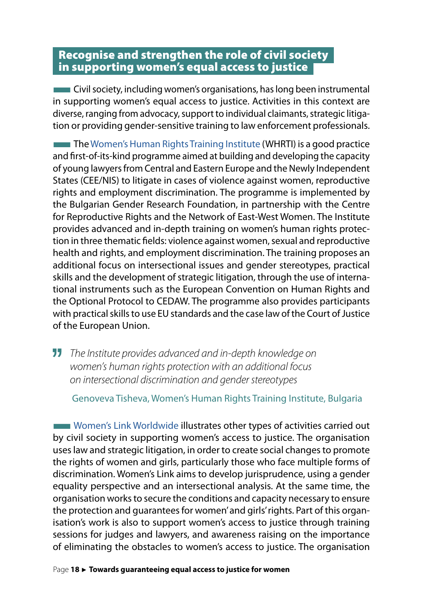#### Recognise and strengthen the role of civil society in supporting women's equal access to justice

**EXECT** Civil society, including women's organisations, has long been instrumental in supporting women's equal access to justice. Activities in this context are diverse, ranging from advocacy, support to individual claimants, strategic litigation or providing gender-sensitive training to law enforcement professionals.

**The [Women's Human Rights Training Institute](https://www.escr-net.org/node/364738) (WHRTI) is a good practice** and first-of-its-kind programme aimed at building and developing the capacity of young lawyers from Central and Eastern Europe and the Newly Independent States (CEE/NIS) to litigate in cases of violence against women, reproductive rights and employment discrimination. The programme is implemented by the Bulgarian Gender Research Foundation, in partnership with the Centre for Reproductive Rights and the Network of East-West Women. The Institute provides advanced and in-depth training on women's human rights protection in three thematic fields: violence against women, sexual and reproductive health and rights, and employment discrimination. The training proposes an additional focus on intersectional issues and gender stereotypes, practical skills and the development of strategic litigation, through the use of international instruments such as the European Convention on Human Rights and the Optional Protocol to CEDAW. The programme also provides participants with practical skills to use EU standards and the case law of the Court of Justice of the European Union.

*The Institute provides advanced and in-depth knowledge on women's human rights protection with an additional focus on intersectional discrimination and gender stereotypes*

Genoveva Tisheva, Women's Human Rights Training Institute, Bulgaria

■[Women's Link Worldwide](http://www.womenslinkworldwide.org/?idi=_en) illustrates other types of activities carried out by civil society in supporting women's access to justice. The organisation uses law and strategic litigation, in order to create social changes to promote the rights of women and girls, particularly those who face multiple forms of discrimination. Women's Link aims to develop jurisprudence, using a gender equality perspective and an intersectional analysis. At the same time, the organisation works to secure the conditions and capacity necessary to ensure the protection and guarantees for women' and girls' rights. Part of this organisation's work is also to support women's access to justice through training sessions for judges and lawyers, and awareness raising on the importance of eliminating the obstacles to women's access to justice. The organisation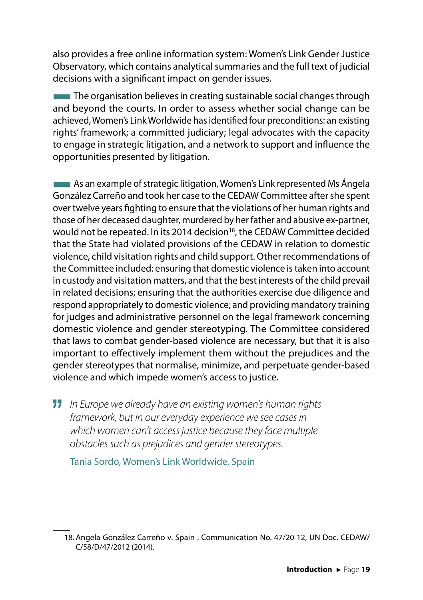also provides a free online information system: Women's Link Gender Justice Observatory, which contains analytical summaries and the full text of judicial decisions with a significant impact on gender issues.

**The organisation believes in creating sustainable social changes through** and beyond the courts. In order to assess whether social change can be achieved, Women's Link Worldwide has identified four preconditions: an existing rights' framework; a committed judiciary; legal advocates with the capacity to engage in strategic litigation, and a network to support and influence the opportunities presented by litigation.

**EXALGE AS an example of strategic litigation, Women's Link represented Ms Ángela** González Carreño and took her case to the CEDAW Committee after she spent over twelve years fighting to ensure that the violations of her human rights and those of her deceased daughter, murdered by her father and abusive ex-partner, would not be repeated. In its 2014 decision<sup>18</sup>, the CEDAW Committee decided that the State had violated provisions of the CEDAW in relation to domestic violence, child visitation rights and child support. Other recommendations of the Committee included: ensuring that domestic violence is taken into account in custody and visitation matters, and that the best interests of the child prevail in related decisions; ensuring that the authorities exercise due diligence and respond appropriately to domestic violence; and providing mandatory training for judges and administrative personnel on the legal framework concerning domestic violence and gender stereotyping. The Committee considered that laws to combat gender-based violence are necessary, but that it is also important to effectively implement them without the prejudices and the gender stereotypes that normalise, minimize, and perpetuate gender-based violence and which impede women's access to justice.

*In Europe we already have an existing women's human rights framework, but in our everyday experience we see cases in which women can't access justice because they face multiple obstacles such as prejudices and gender stereotypes.*

Tania Sordo, Women's Link Worldwide, Spain

<sup>18.</sup> Angela González Carreño v. Spain . Communication No. 47/20 12, UN Doc. CEDAW/ C/58/D/47/2012 (2014).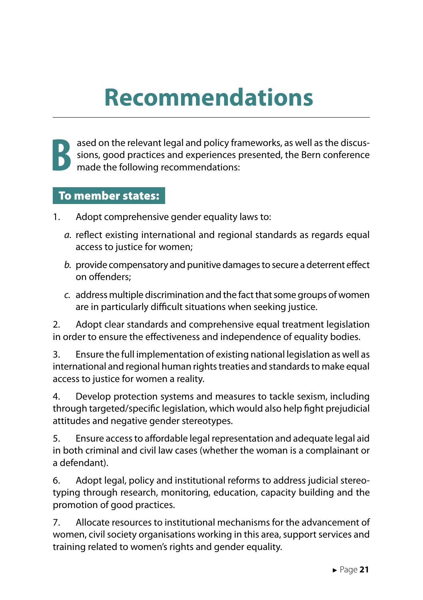# **Recommendations**



ased on the relevant legal and policy frameworks, as well as the discussions, good practices and experiences presented, the Bern conference made the following recommendations: sions, good practices and experiences presented, the Bern conference made the following recommendations:

#### To member states:

- 1. Adopt comprehensive gender equality laws to:
	- *a.* reflect existing international and regional standards as regards equal access to justice for women;
	- *b.* provide compensatory and punitive damages to secure a deterrent effect on offenders;
	- *c.* address multiple discrimination and the fact that some groups of women are in particularly difficult situations when seeking justice.

2. Adopt clear standards and comprehensive equal treatment legislation in order to ensure the effectiveness and independence of equality bodies.

3. Ensure the full implementation of existing national legislation as well as international and regional human rights treaties and standards to make equal access to justice for women a reality.

4. Develop protection systems and measures to tackle sexism, including through targeted/specific legislation, which would also help fight prejudicial attitudes and negative gender stereotypes.

5. Ensure access to affordable legal representation and adequate legal aid in both criminal and civil law cases (whether the woman is a complainant or a defendant).

6. Adopt legal, policy and institutional reforms to address judicial stereotyping through research, monitoring, education, capacity building and the promotion of good practices.

7. Allocate resources to institutional mechanisms for the advancement of women, civil society organisations working in this area, support services and training related to women's rights and gender equality.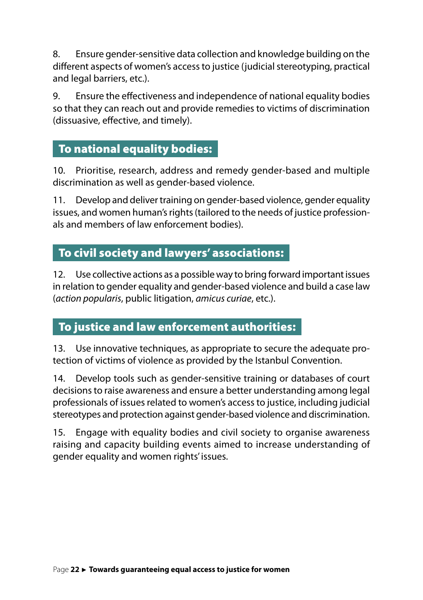8. Ensure gender-sensitive data collection and knowledge building on the different aspects of women's access to justice (judicial stereotyping, practical and legal barriers, etc.).

9. Ensure the effectiveness and independence of national equality bodies so that they can reach out and provide remedies to victims of discrimination (dissuasive, effective, and timely).

### To national equality bodies:

10. Prioritise, research, address and remedy gender-based and multiple discrimination as well as gender-based violence.

11. Develop and deliver training on gender-based violence, gender equality issues, and women human's rights (tailored to the needs of justice professionals and members of law enforcement bodies).

### To civil society and lawyers' associations:

12. Use collective actions as a possible way to bring forward important issues in relation to gender equality and gender-based violence and build a case law (*action popularis*, public litigation, *amicus curiae*, etc.).

### To justice and law enforcement authorities:

13. Use innovative techniques, as appropriate to secure the adequate protection of victims of violence as provided by the Istanbul Convention.

14. Develop tools such as gender-sensitive training or databases of court decisions to raise awareness and ensure a better understanding among legal professionals of issues related to women's access to justice, including judicial stereotypes and protection against gender-based violence and discrimination.

15. Engage with equality bodies and civil society to organise awareness raising and capacity building events aimed to increase understanding of gender equality and women rights' issues.